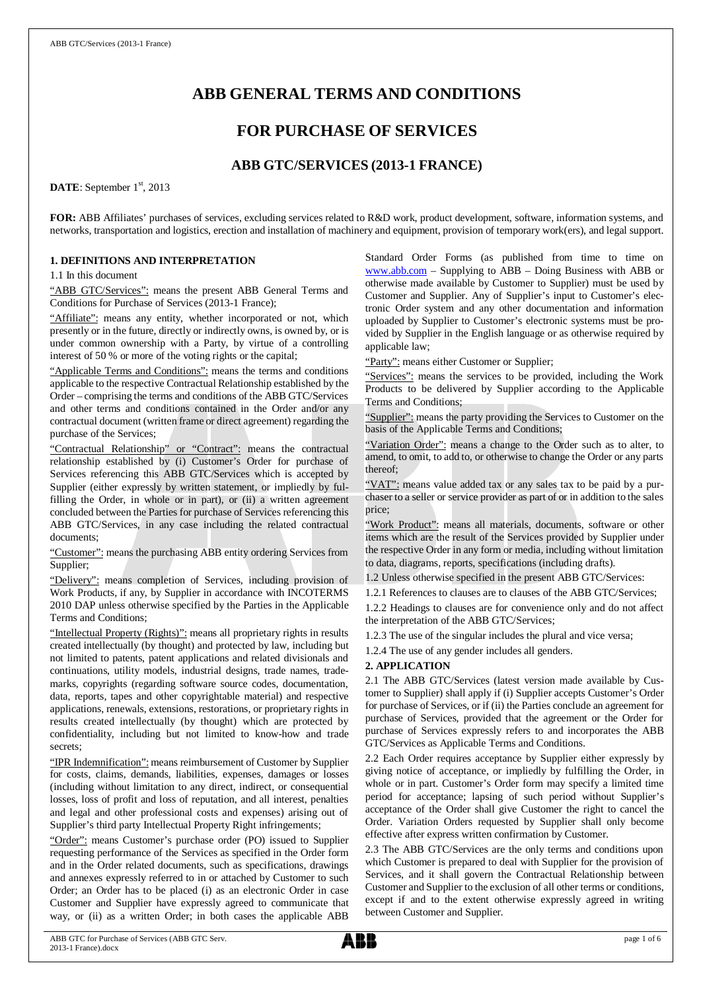# **ABB GENERAL TERMS AND CONDITIONS**

## **FOR PURCHASE OF SERVICES**

## **ABB GTC/SERVICES (2013-1 FRANCE)**

DATE: September 1<sup>st</sup>, 2013

**FOR:** ABB Affiliates' purchases of services, excluding services related to R&D work, product development, software, information systems, and networks, transportation and logistics, erection and installation of machinery and equipment, provision of temporary work(ers), and legal support.

## **1. DEFINITIONS AND INTERPRETATION**

1.1 In this document

"ABB GTC/Services": means the present ABB General Terms and Conditions for Purchase of Services (2013-1 France);

"Affiliate": means any entity, whether incorporated or not, which presently or in the future, directly or indirectly owns, is owned by, or is under common ownership with a Party, by virtue of a controlling interest of 50 % or more of the voting rights or the capital;

"Applicable Terms and Conditions": means the terms and conditions applicable to the respective Contractual Relationship established by the Order – comprising the terms and conditions of the ABB GTC/Services and other terms and conditions contained in the Order and/or any contractual document (written frame or direct agreement) regarding the purchase of the Services;

"Contractual Relationship" or "Contract": means the contractual relationship established by (i) Customer's Order for purchase of Services referencing this ABB GTC/Services which is accepted by Supplier (either expressly by written statement, or impliedly by fulfilling the Order, in whole or in part), or (ii) a written agreement concluded between the Parties for purchase of Services referencing this ABB GTC/Services, in any case including the related contractual documents;

"Customer": means the purchasing ABB entity ordering Services from Supplier;

"Delivery": means completion of Services, including provision of Work Products, if any, by Supplier in accordance with INCOTERMS 2010 DAP unless otherwise specified by the Parties in the Applicable Terms and Conditions;

"Intellectual Property (Rights)": means all proprietary rights in results created intellectually (by thought) and protected by law, including but not limited to patents, patent applications and related divisionals and continuations, utility models, industrial designs, trade names, trademarks, copyrights (regarding software source codes, documentation, data, reports, tapes and other copyrightable material) and respective applications, renewals, extensions, restorations, or proprietary rights in results created intellectually (by thought) which are protected by confidentiality, including but not limited to know-how and trade secrets;

"IPR Indemnification": means reimbursement of Customer by Supplier for costs, claims, demands, liabilities, expenses, damages or losses (including without limitation to any direct, indirect, or consequential losses, loss of profit and loss of reputation, and all interest, penalties and legal and other professional costs and expenses) arising out of Supplier's third party Intellectual Property Right infringements;

"Order": means Customer's purchase order (PO) issued to Supplier requesting performance of the Services as specified in the Order form and in the Order related documents, such as specifications, drawings and annexes expressly referred to in or attached by Customer to such Order; an Order has to be placed (i) as an electronic Order in case Customer and Supplier have expressly agreed to communicate that way, or (ii) as a written Order; in both cases the applicable ABB

Standard Order Forms (as published from time to time on [www.abb.com](http://www.abb.com/) – Supplying to ABB – Doing Business with ABB or otherwise made available by Customer to Supplier) must be used by Customer and Supplier. Any of Supplier's input to Customer's electronic Order system and any other documentation and information uploaded by Supplier to Customer's electronic systems must be provided by Supplier in the English language or as otherwise required by applicable law;

"Party": means either Customer or Supplier;

"Services": means the services to be provided, including the Work Products to be delivered by Supplier according to the Applicable Terms and Conditions;

"Supplier": means the party providing the Services to Customer on the basis of the Applicable Terms and Conditions;

"Variation Order": means a change to the Order such as to alter, to amend, to omit, to add to, or otherwise to change the Order or any parts thereof;

"VAT": means value added tax or any sales tax to be paid by a purchaser to a seller or service provider as part of or in addition to the sales price;

"Work Product": means all materials, documents, software or other items which are the result of the Services provided by Supplier under the respective Order in any form or media, including without limitation to data, diagrams, reports, specifications (including drafts).

1.2 Unless otherwise specified in the present ABB GTC/Services:

1.2.1 References to clauses are to clauses of the ABB GTC/Services; 1.2.2 Headings to clauses are for convenience only and do not affect the interpretation of the ABB GTC/Services;

1.2.3 The use of the singular includes the plural and vice versa;

1.2.4 The use of any gender includes all genders.

## **2. APPLICATION**

2.1 The ABB GTC/Services (latest version made available by Customer to Supplier) shall apply if (i) Supplier accepts Customer's Order for purchase of Services, or if (ii) the Parties conclude an agreement for purchase of Services, provided that the agreement or the Order for purchase of Services expressly refers to and incorporates the ABB GTC/Services as Applicable Terms and Conditions.

2.2 Each Order requires acceptance by Supplier either expressly by giving notice of acceptance, or impliedly by fulfilling the Order, in whole or in part. Customer's Order form may specify a limited time period for acceptance; lapsing of such period without Supplier's acceptance of the Order shall give Customer the right to cancel the Order. Variation Orders requested by Supplier shall only become effective after express written confirmation by Customer.

2.3 The ABB GTC/Services are the only terms and conditions upon which Customer is prepared to deal with Supplier for the provision of Services, and it shall govern the Contractual Relationship between Customer and Supplier to the exclusion of all other terms or conditions, except if and to the extent otherwise expressly agreed in writing between Customer and Supplier.

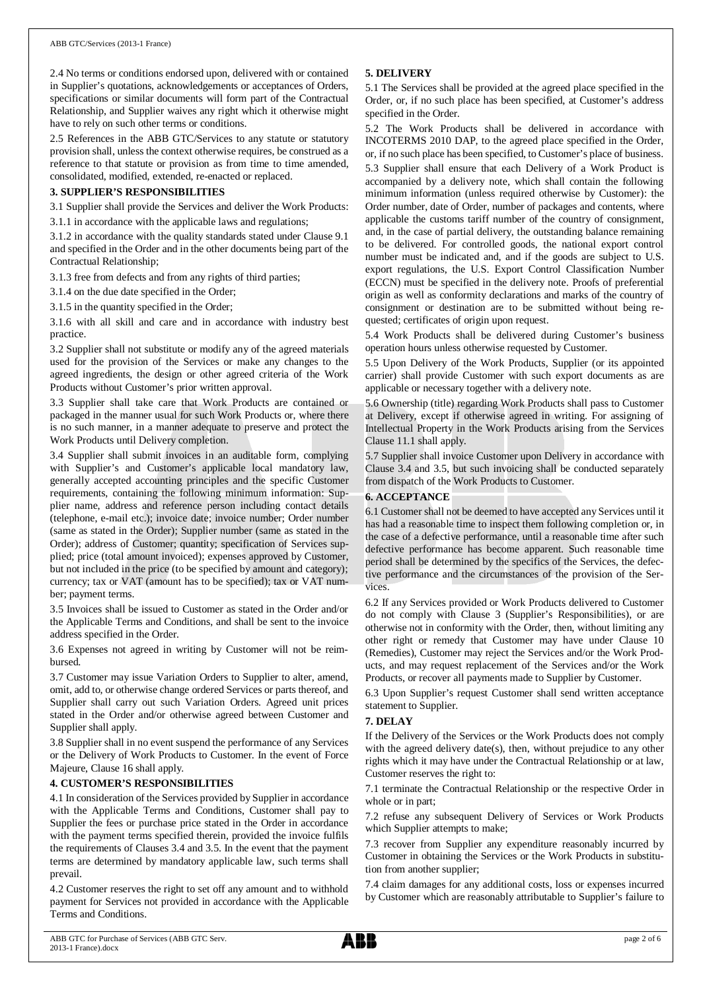2.4 No terms or conditions endorsed upon, delivered with or contained in Supplier's quotations, acknowledgements or acceptances of Orders, specifications or similar documents will form part of the Contractual Relationship, and Supplier waives any right which it otherwise might have to rely on such other terms or conditions.

2.5 References in the ABB GTC/Services to any statute or statutory provision shall, unless the context otherwise requires, be construed as a reference to that statute or provision as from time to time amended, consolidated, modified, extended, re-enacted or replaced.

## **3. SUPPLIER'S RESPONSIBILITIES**

3.1 Supplier shall provide the Services and deliver the Work Products: 3.1.1 in accordance with the applicable laws and regulations;

3.1.2 in accordance with the quality standards stated under Clause 9.1 and specified in the Order and in the other documents being part of the

3.1.3 free from defects and from any rights of third parties;

3.1.4 on the due date specified in the Order;

Contractual Relationship;

3.1.5 in the quantity specified in the Order;

3.1.6 with all skill and care and in accordance with industry best practice.

3.2 Supplier shall not substitute or modify any of the agreed materials used for the provision of the Services or make any changes to the agreed ingredients, the design or other agreed criteria of the Work Products without Customer's prior written approval.

3.3 Supplier shall take care that Work Products are contained or packaged in the manner usual for such Work Products or, where there is no such manner, in a manner adequate to preserve and protect the Work Products until Delivery completion.

3.4 Supplier shall submit invoices in an auditable form, complying with Supplier's and Customer's applicable local mandatory law, generally accepted accounting principles and the specific Customer requirements, containing the following minimum information: Supplier name, address and reference person including contact details (telephone, e-mail etc.); invoice date; invoice number; Order number (same as stated in the Order); Supplier number (same as stated in the Order); address of Customer; quantity; specification of Services supplied; price (total amount invoiced); expenses approved by Customer, but not included in the price (to be specified by amount and category); currency; tax or VAT (amount has to be specified); tax or VAT number; payment terms.

3.5 Invoices shall be issued to Customer as stated in the Order and/or the Applicable Terms and Conditions, and shall be sent to the invoice address specified in the Order.

3.6 Expenses not agreed in writing by Customer will not be reimbursed.

3.7 Customer may issue Variation Orders to Supplier to alter, amend, omit, add to, or otherwise change ordered Services or parts thereof, and Supplier shall carry out such Variation Orders. Agreed unit prices stated in the Order and/or otherwise agreed between Customer and Supplier shall apply.

3.8 Supplier shall in no event suspend the performance of any Services or the Delivery of Work Products to Customer. In the event of Force Majeure, Clause 16 shall apply.

## **4. CUSTOMER'S RESPONSIBILITIES**

4.1 In consideration of the Services provided by Supplier in accordance with the Applicable Terms and Conditions, Customer shall pay to Supplier the fees or purchase price stated in the Order in accordance with the payment terms specified therein, provided the invoice fulfils the requirements of Clauses 3.4 and 3.5. In the event that the payment terms are determined by mandatory applicable law, such terms shall prevail.

4.2 Customer reserves the right to set off any amount and to withhold payment for Services not provided in accordance with the Applicable Terms and Conditions.

## **5. DELIVERY**

5.1 The Services shall be provided at the agreed place specified in the Order, or, if no such place has been specified, at Customer's address specified in the Order.

5.2 The Work Products shall be delivered in accordance with INCOTERMS 2010 DAP, to the agreed place specified in the Order, or, if no such place has been specified, to Customer's place of business. 5.3 Supplier shall ensure that each Delivery of a Work Product is accompanied by a delivery note, which shall contain the following minimum information (unless required otherwise by Customer): the Order number, date of Order, number of packages and contents, where applicable the customs tariff number of the country of consignment, and, in the case of partial delivery, the outstanding balance remaining to be delivered. For controlled goods, the national export control number must be indicated and, and if the goods are subject to U.S. export regulations, the U.S. Export Control Classification Number (ECCN) must be specified in the delivery note. Proofs of preferential origin as well as conformity declarations and marks of the country of consignment or destination are to be submitted without being requested; certificates of origin upon request.

5.4 Work Products shall be delivered during Customer's business operation hours unless otherwise requested by Customer.

5.5 Upon Delivery of the Work Products, Supplier (or its appointed carrier) shall provide Customer with such export documents as are applicable or necessary together with a delivery note.

5.6 Ownership (title) regarding Work Products shall pass to Customer at Delivery, except if otherwise agreed in writing. For assigning of Intellectual Property in the Work Products arising from the Services Clause 11.1 shall apply.

5.7 Supplier shall invoice Customer upon Delivery in accordance with Clause 3.4 and 3.5, but such invoicing shall be conducted separately from dispatch of the Work Products to Customer.

## **6. ACCEPTANCE**

6.1 Customer shall not be deemed to have accepted any Services until it has had a reasonable time to inspect them following completion or, in the case of a defective performance, until a reasonable time after such defective performance has become apparent. Such reasonable time period shall be determined by the specifics of the Services, the defective performance and the circumstances of the provision of the Services.

6.2 If any Services provided or Work Products delivered to Customer do not comply with Clause 3 (Supplier's Responsibilities), or are otherwise not in conformity with the Order, then, without limiting any other right or remedy that Customer may have under Clause 10 (Remedies), Customer may reject the Services and/or the Work Products, and may request replacement of the Services and/or the Work Products, or recover all payments made to Supplier by Customer.

6.3 Upon Supplier's request Customer shall send written acceptance statement to Supplier.

## **7. DELAY**

If the Delivery of the Services or the Work Products does not comply with the agreed delivery date(s), then, without prejudice to any other rights which it may have under the Contractual Relationship or at law, Customer reserves the right to:

7.1 terminate the Contractual Relationship or the respective Order in whole or in part;

7.2 refuse any subsequent Delivery of Services or Work Products which Supplier attempts to make;

7.3 recover from Supplier any expenditure reasonably incurred by Customer in obtaining the Services or the Work Products in substitution from another supplier;

7.4 claim damages for any additional costs, loss or expenses incurred by Customer which are reasonably attributable to Supplier's failure to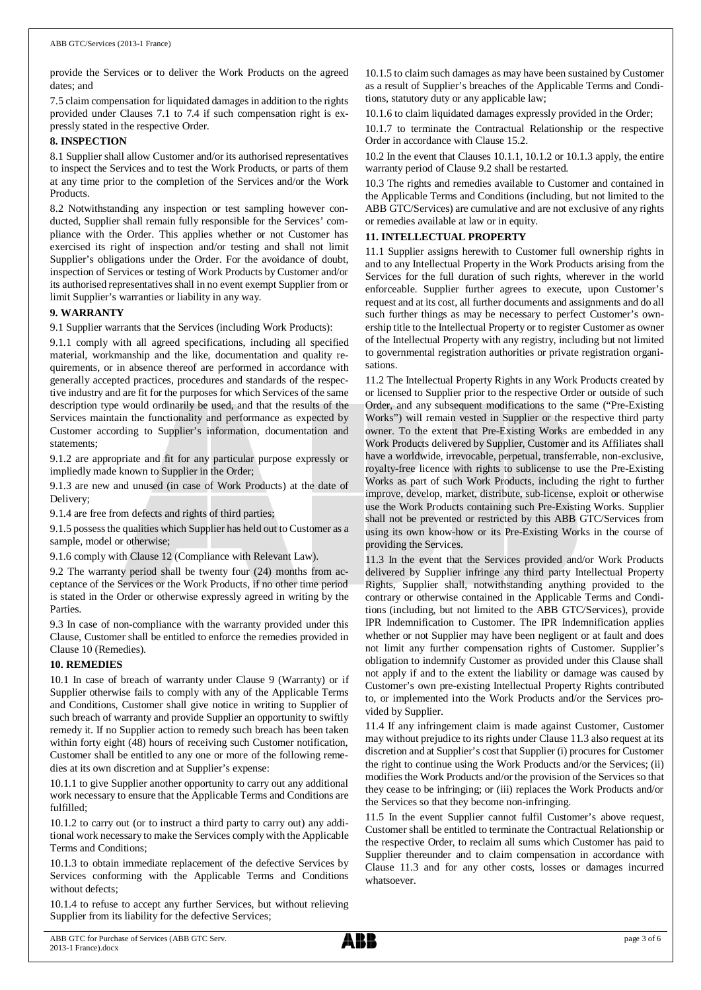provide the Services or to deliver the Work Products on the agreed dates; and

7.5 claim compensation for liquidated damages in addition to the rights provided under Clauses 7.1 to 7.4 if such compensation right is expressly stated in the respective Order.

#### **8. INSPECTION**

8.1 Supplier shall allow Customer and/or its authorised representatives to inspect the Services and to test the Work Products, or parts of them at any time prior to the completion of the Services and/or the Work Products.

8.2 Notwithstanding any inspection or test sampling however conducted, Supplier shall remain fully responsible for the Services' compliance with the Order. This applies whether or not Customer has exercised its right of inspection and/or testing and shall not limit Supplier's obligations under the Order. For the avoidance of doubt, inspection of Services or testing of Work Products by Customer and/or its authorised representatives shall in no event exempt Supplier from or limit Supplier's warranties or liability in any way.

## **9. WARRANTY**

9.1 Supplier warrants that the Services (including Work Products):

9.1.1 comply with all agreed specifications, including all specified material, workmanship and the like, documentation and quality requirements, or in absence thereof are performed in accordance with generally accepted practices, procedures and standards of the respective industry and are fit for the purposes for which Services of the same description type would ordinarily be used, and that the results of the Services maintain the functionality and performance as expected by Customer according to Supplier's information, documentation and statements;

9.1.2 are appropriate and fit for any particular purpose expressly or impliedly made known to Supplier in the Order;

9.1.3 are new and unused (in case of Work Products) at the date of Delivery;

9.1.4 are free from defects and rights of third parties;

9.1.5 possess the qualities which Supplier has held out to Customer as a sample, model or otherwise;

9.1.6 comply with Clause 12 (Compliance with Relevant Law).

9.2 The warranty period shall be twenty four (24) months from acceptance of the Services or the Work Products, if no other time period is stated in the Order or otherwise expressly agreed in writing by the Parties.

9.3 In case of non-compliance with the warranty provided under this Clause, Customer shall be entitled to enforce the remedies provided in Clause 10 (Remedies).

## **10. REMEDIES**

10.1 In case of breach of warranty under Clause 9 (Warranty) or if Supplier otherwise fails to comply with any of the Applicable Terms and Conditions, Customer shall give notice in writing to Supplier of such breach of warranty and provide Supplier an opportunity to swiftly remedy it. If no Supplier action to remedy such breach has been taken within forty eight (48) hours of receiving such Customer notification, Customer shall be entitled to any one or more of the following remedies at its own discretion and at Supplier's expense:

10.1.1 to give Supplier another opportunity to carry out any additional work necessary to ensure that the Applicable Terms and Conditions are fulfilled;

10.1.2 to carry out (or to instruct a third party to carry out) any additional work necessary to make the Services comply with the Applicable Terms and Conditions;

10.1.3 to obtain immediate replacement of the defective Services by Services conforming with the Applicable Terms and Conditions without defects;

10.1.4 to refuse to accept any further Services, but without relieving Supplier from its liability for the defective Services;

10.1.5 to claim such damages as may have been sustained by Customer as a result of Supplier's breaches of the Applicable Terms and Conditions, statutory duty or any applicable law;

10.1.6 to claim liquidated damages expressly provided in the Order;

10.1.7 to terminate the Contractual Relationship or the respective Order in accordance with Clause 15.2.

10.2 In the event that Clauses 10.1.1, 10.1.2 or 10.1.3 apply, the entire warranty period of Clause 9.2 shall be restarted.

10.3 The rights and remedies available to Customer and contained in the Applicable Terms and Conditions (including, but not limited to the ABB GTC/Services) are cumulative and are not exclusive of any rights or remedies available at law or in equity.

## **11. INTELLECTUAL PROPERTY**

11.1 Supplier assigns herewith to Customer full ownership rights in and to any Intellectual Property in the Work Products arising from the Services for the full duration of such rights, wherever in the world enforceable. Supplier further agrees to execute, upon Customer's request and at its cost, all further documents and assignments and do all such further things as may be necessary to perfect Customer's ownership title to the Intellectual Property or to register Customer as owner of the Intellectual Property with any registry, including but not limited to governmental registration authorities or private registration organisations.

11.2 The Intellectual Property Rights in any Work Products created by or licensed to Supplier prior to the respective Order or outside of such Order, and any subsequent modifications to the same ("Pre-Existing Works") will remain vested in Supplier or the respective third party owner. To the extent that Pre-Existing Works are embedded in any Work Products delivered by Supplier, Customer and its Affiliates shall have a worldwide, irrevocable, perpetual, transferrable, non-exclusive, royalty-free licence with rights to sublicense to use the Pre-Existing Works as part of such Work Products, including the right to further improve, develop, market, distribute, sub-license, exploit or otherwise use the Work Products containing such Pre-Existing Works. Supplier shall not be prevented or restricted by this ABB GTC/Services from using its own know-how or its Pre-Existing Works in the course of providing the Services.

11.3 In the event that the Services provided and/or Work Products delivered by Supplier infringe any third party Intellectual Property Rights, Supplier shall, notwithstanding anything provided to the contrary or otherwise contained in the Applicable Terms and Conditions (including, but not limited to the ABB GTC/Services), provide IPR Indemnification to Customer. The IPR Indemnification applies whether or not Supplier may have been negligent or at fault and does not limit any further compensation rights of Customer. Supplier's obligation to indemnify Customer as provided under this Clause shall not apply if and to the extent the liability or damage was caused by Customer's own pre-existing Intellectual Property Rights contributed to, or implemented into the Work Products and/or the Services provided by Supplier.

11.4 If any infringement claim is made against Customer, Customer may without prejudice to its rights under Clause 11.3 also request at its discretion and at Supplier's cost that Supplier (i) procures for Customer the right to continue using the Work Products and/or the Services; (ii) modifies the Work Products and/or the provision of the Services so that they cease to be infringing; or (iii) replaces the Work Products and/or the Services so that they become non-infringing.

11.5 In the event Supplier cannot fulfil Customer's above request, Customer shall be entitled to terminate the Contractual Relationship or the respective Order, to reclaim all sums which Customer has paid to Supplier thereunder and to claim compensation in accordance with Clause 11.3 and for any other costs, losses or damages incurred whatsoever.

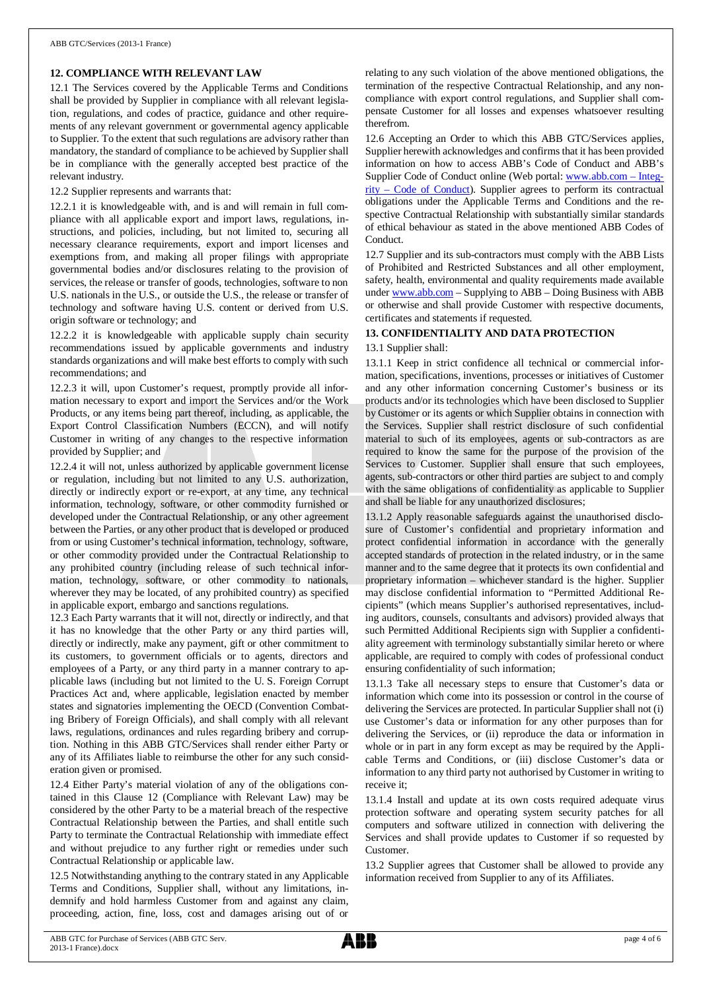## **12. COMPLIANCE WITH RELEVANT LAW**

12.1 The Services covered by the Applicable Terms and Conditions shall be provided by Supplier in compliance with all relevant legislation, regulations, and codes of practice, guidance and other requirements of any relevant government or governmental agency applicable to Supplier. To the extent that such regulations are advisory rather than mandatory, the standard of compliance to be achieved by Supplier shall be in compliance with the generally accepted best practice of the relevant industry.

12.2 Supplier represents and warrants that:

12.2.1 it is knowledgeable with, and is and will remain in full compliance with all applicable export and import laws, regulations, instructions, and policies, including, but not limited to, securing all necessary clearance requirements, export and import licenses and exemptions from, and making all proper filings with appropriate governmental bodies and/or disclosures relating to the provision of services, the release or transfer of goods, technologies, software to non U.S. nationals in the U.S., or outside the U.S., the release or transfer of technology and software having U.S. content or derived from U.S. origin software or technology; and

12.2.2 it is knowledgeable with applicable supply chain security recommendations issued by applicable governments and industry standards organizations and will make best efforts to comply with such recommendations; and

12.2.3 it will, upon Customer's request, promptly provide all information necessary to export and import the Services and/or the Work Products, or any items being part thereof, including, as applicable, the Export Control Classification Numbers (ECCN), and will notify Customer in writing of any changes to the respective information provided by Supplier; and

12.2.4 it will not, unless authorized by applicable government license or regulation, including but not limited to any U.S. authorization, directly or indirectly export or re-export, at any time, any technical information, technology, software, or other commodity furnished or developed under the Contractual Relationship, or any other agreement between the Parties, or any other product that is developed or produced from or using Customer's technical information, technology, software, or other commodity provided under the Contractual Relationship to any prohibited country (including release of such technical information, technology, software, or other commodity to nationals, wherever they may be located, of any prohibited country) as specified in applicable export, embargo and sanctions regulations.

12.3 Each Party warrants that it will not, directly or indirectly, and that it has no knowledge that the other Party or any third parties will, directly or indirectly, make any payment, gift or other commitment to its customers, to government officials or to agents, directors and employees of a Party, or any third party in a manner contrary to applicable laws (including but not limited to the U. S. Foreign Corrupt Practices Act and, where applicable, legislation enacted by member states and signatories implementing the OECD (Convention Combating Bribery of Foreign Officials), and shall comply with all relevant laws, regulations, ordinances and rules regarding bribery and corruption. Nothing in this ABB GTC/Services shall render either Party or any of its Affiliates liable to reimburse the other for any such consideration given or promised.

12.4 Either Party's material violation of any of the obligations contained in this Clause 12 (Compliance with Relevant Law) may be considered by the other Party to be a material breach of the respective Contractual Relationship between the Parties, and shall entitle such Party to terminate the Contractual Relationship with immediate effect and without prejudice to any further right or remedies under such Contractual Relationship or applicable law.

12.5 Notwithstanding anything to the contrary stated in any Applicable Terms and Conditions, Supplier shall, without any limitations, indemnify and hold harmless Customer from and against any claim, proceeding, action, fine, loss, cost and damages arising out of or

relating to any such violation of the above mentioned obligations, the termination of the respective Contractual Relationship, and any noncompliance with export control regulations, and Supplier shall compensate Customer for all losses and expenses whatsoever resulting therefrom.

12.6 Accepting an Order to which this ABB GTC/Services applies, Supplier herewith acknowledges and confirms that it has been provided information on how to access ABB's Code of Conduct and ABB's Supplier Code of Conduct online (Web portal: [www.abb.com](http://www.abb.com/) – Integrity – Code of Conduct). Supplier agrees to perform its contractual obligations under the Applicable Terms and Conditions and the respective Contractual Relationship with substantially similar standards of ethical behaviour as stated in the above mentioned ABB Codes of Conduct.

12.7 Supplier and its sub-contractors must comply with the ABB Lists of Prohibited and Restricted Substances and all other employment, safety, health, environmental and quality requirements made available under [www.abb.com](http://www.abb.com/) – Supplying to ABB – Doing Business with ABB or otherwise and shall provide Customer with respective documents, certificates and statements if requested.

## **13. CONFIDENTIALITY AND DATA PROTECTION**

## 13.1 Supplier shall:

13.1.1 Keep in strict confidence all technical or commercial information, specifications, inventions, processes or initiatives of Customer and any other information concerning Customer's business or its products and/or its technologies which have been disclosed to Supplier by Customer or its agents or which Supplier obtains in connection with the Services. Supplier shall restrict disclosure of such confidential material to such of its employees, agents or sub-contractors as are required to know the same for the purpose of the provision of the Services to Customer. Supplier shall ensure that such employees, agents, sub-contractors or other third parties are subject to and comply with the same obligations of confidentiality as applicable to Supplier and shall be liable for any unauthorized disclosures;

13.1.2 Apply reasonable safeguards against the unauthorised disclosure of Customer's confidential and proprietary information and protect confidential information in accordance with the generally accepted standards of protection in the related industry, or in the same manner and to the same degree that it protects its own confidential and proprietary information – whichever standard is the higher. Supplier may disclose confidential information to "Permitted Additional Recipients" (which means Supplier's authorised representatives, including auditors, counsels, consultants and advisors) provided always that such Permitted Additional Recipients sign with Supplier a confidentiality agreement with terminology substantially similar hereto or where applicable, are required to comply with codes of professional conduct ensuring confidentiality of such information;

13.1.3 Take all necessary steps to ensure that Customer's data or information which come into its possession or control in the course of delivering the Services are protected. In particular Supplier shall not (i) use Customer's data or information for any other purposes than for delivering the Services, or (ii) reproduce the data or information in whole or in part in any form except as may be required by the Applicable Terms and Conditions, or (iii) disclose Customer's data or information to any third party not authorised by Customer in writing to receive it;

13.1.4 Install and update at its own costs required adequate virus protection software and operating system security patches for all computers and software utilized in connection with delivering the Services and shall provide updates to Customer if so requested by Customer.

13.2 Supplier agrees that Customer shall be allowed to provide any information received from Supplier to any of its Affiliates.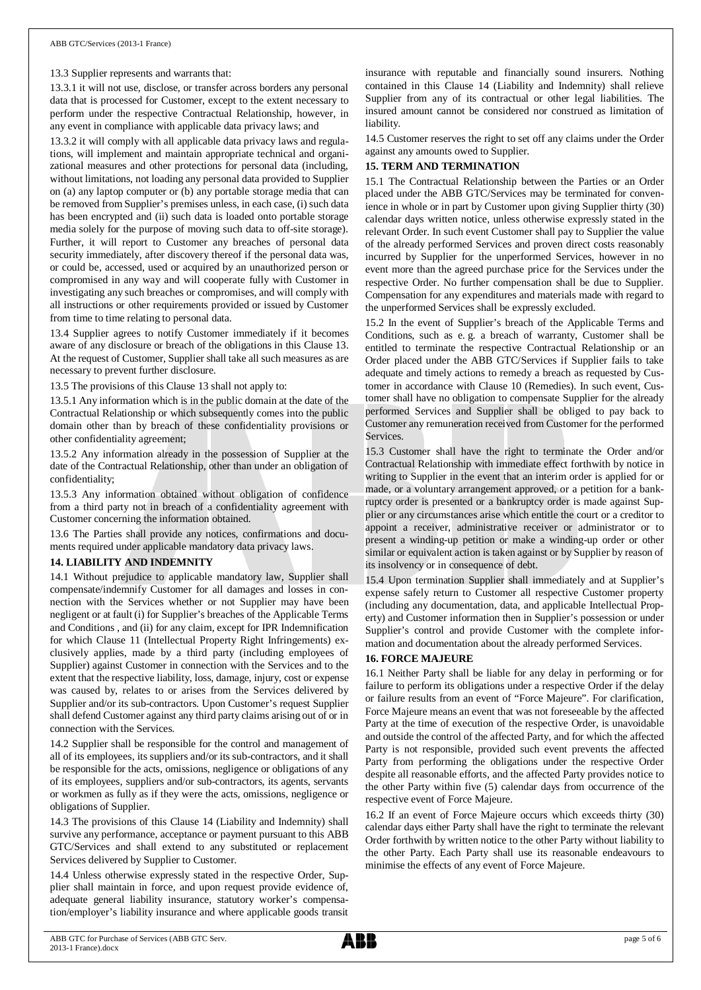#### 13.3 Supplier represents and warrants that:

13.3.1 it will not use, disclose, or transfer across borders any personal data that is processed for Customer, except to the extent necessary to perform under the respective Contractual Relationship, however, in any event in compliance with applicable data privacy laws; and

13.3.2 it will comply with all applicable data privacy laws and regulations, will implement and maintain appropriate technical and organizational measures and other protections for personal data (including, without limitations, not loading any personal data provided to Supplier on (a) any laptop computer or (b) any portable storage media that can be removed from Supplier's premises unless, in each case, (i) such data has been encrypted and (ii) such data is loaded onto portable storage media solely for the purpose of moving such data to off-site storage). Further, it will report to Customer any breaches of personal data security immediately, after discovery thereof if the personal data was, or could be, accessed, used or acquired by an unauthorized person or compromised in any way and will cooperate fully with Customer in investigating any such breaches or compromises, and will comply with all instructions or other requirements provided or issued by Customer from time to time relating to personal data.

13.4 Supplier agrees to notify Customer immediately if it becomes aware of any disclosure or breach of the obligations in this Clause 13. At the request of Customer, Supplier shall take all such measures as are necessary to prevent further disclosure.

13.5 The provisions of this Clause 13 shall not apply to:

13.5.1 Any information which is in the public domain at the date of the Contractual Relationship or which subsequently comes into the public domain other than by breach of these confidentiality provisions or other confidentiality agreement;

13.5.2 Any information already in the possession of Supplier at the date of the Contractual Relationship, other than under an obligation of confidentiality;

13.5.3 Any information obtained without obligation of confidence from a third party not in breach of a confidentiality agreement with Customer concerning the information obtained.

13.6 The Parties shall provide any notices, confirmations and documents required under applicable mandatory data privacy laws.

#### **14. LIABILITY AND INDEMNITY**

14.1 Without prejudice to applicable mandatory law, Supplier shall compensate/indemnify Customer for all damages and losses in connection with the Services whether or not Supplier may have been negligent or at fault (i) for Supplier's breaches of the Applicable Terms and Conditions , and (ii) for any claim, except for IPR Indemnification for which Clause 11 (Intellectual Property Right Infringements) exclusively applies, made by a third party (including employees of Supplier) against Customer in connection with the Services and to the extent that the respective liability, loss, damage, injury, cost or expense was caused by, relates to or arises from the Services delivered by Supplier and/or its sub-contractors. Upon Customer's request Supplier shall defend Customer against any third party claims arising out of or in connection with the Services.

14.2 Supplier shall be responsible for the control and management of all of its employees, its suppliers and/or its sub-contractors, and it shall be responsible for the acts, omissions, negligence or obligations of any of its employees, suppliers and/or sub-contractors, its agents, servants or workmen as fully as if they were the acts, omissions, negligence or obligations of Supplier.

14.3 The provisions of this Clause 14 (Liability and Indemnity) shall survive any performance, acceptance or payment pursuant to this ABB GTC/Services and shall extend to any substituted or replacement Services delivered by Supplier to Customer.

14.4 Unless otherwise expressly stated in the respective Order, Supplier shall maintain in force, and upon request provide evidence of, adequate general liability insurance, statutory worker's compensation/employer's liability insurance and where applicable goods transit

insurance with reputable and financially sound insurers. Nothing contained in this Clause 14 (Liability and Indemnity) shall relieve Supplier from any of its contractual or other legal liabilities. The insured amount cannot be considered nor construed as limitation of liability.

14.5 Customer reserves the right to set off any claims under the Order against any amounts owed to Supplier.

## **15. TERM AND TERMINATION**

15.1 The Contractual Relationship between the Parties or an Order placed under the ABB GTC/Services may be terminated for convenience in whole or in part by Customer upon giving Supplier thirty (30) calendar days written notice, unless otherwise expressly stated in the relevant Order. In such event Customer shall pay to Supplier the value of the already performed Services and proven direct costs reasonably incurred by Supplier for the unperformed Services, however in no event more than the agreed purchase price for the Services under the respective Order. No further compensation shall be due to Supplier. Compensation for any expenditures and materials made with regard to the unperformed Services shall be expressly excluded.

15.2 In the event of Supplier's breach of the Applicable Terms and Conditions, such as e. g. a breach of warranty, Customer shall be entitled to terminate the respective Contractual Relationship or an Order placed under the ABB GTC/Services if Supplier fails to take adequate and timely actions to remedy a breach as requested by Customer in accordance with Clause 10 (Remedies). In such event, Customer shall have no obligation to compensate Supplier for the already performed Services and Supplier shall be obliged to pay back to Customer any remuneration received from Customer for the performed **Services** 

15.3 Customer shall have the right to terminate the Order and/or Contractual Relationship with immediate effect forthwith by notice in writing to Supplier in the event that an interim order is applied for or made, or a voluntary arrangement approved, or a petition for a bankruptcy order is presented or a bankruptcy order is made against Supplier or any circumstances arise which entitle the court or a creditor to appoint a receiver, administrative receiver or administrator or to present a winding-up petition or make a winding-up order or other similar or equivalent action is taken against or by Supplier by reason of its insolvency or in consequence of debt.

15.4 Upon termination Supplier shall immediately and at Supplier's expense safely return to Customer all respective Customer property (including any documentation, data, and applicable Intellectual Property) and Customer information then in Supplier's possession or under Supplier's control and provide Customer with the complete information and documentation about the already performed Services.

#### **16. FORCE MAJEURE**

16.1 Neither Party shall be liable for any delay in performing or for failure to perform its obligations under a respective Order if the delay or failure results from an event of "Force Majeure". For clarification, Force Majeure means an event that was not foreseeable by the affected Party at the time of execution of the respective Order, is unavoidable and outside the control of the affected Party, and for which the affected Party is not responsible, provided such event prevents the affected Party from performing the obligations under the respective Order despite all reasonable efforts, and the affected Party provides notice to the other Party within five (5) calendar days from occurrence of the respective event of Force Majeure.

16.2 If an event of Force Majeure occurs which exceeds thirty (30) calendar days either Party shall have the right to terminate the relevant Order forthwith by written notice to the other Party without liability to the other Party. Each Party shall use its reasonable endeavours to minimise the effects of any event of Force Majeure.